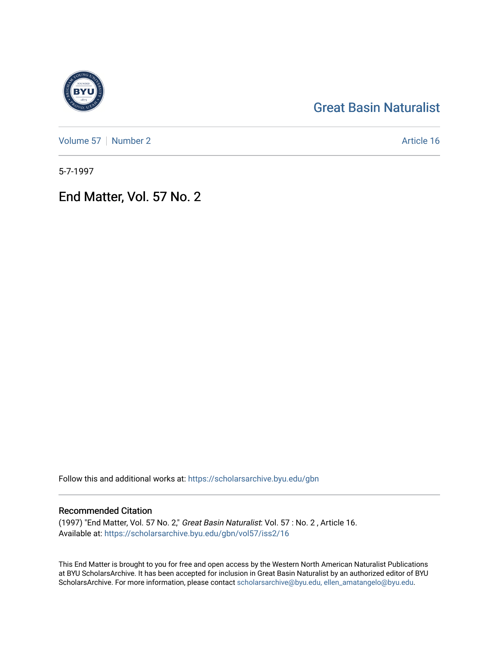## [Great Basin Naturalist](https://scholarsarchive.byu.edu/gbn)

[Volume 57](https://scholarsarchive.byu.edu/gbn/vol57) | [Number 2](https://scholarsarchive.byu.edu/gbn/vol57/iss2) Article 16

5-7-1997

End Matter, Vol. 57 No. 2

Follow this and additional works at: [https://scholarsarchive.byu.edu/gbn](https://scholarsarchive.byu.edu/gbn?utm_source=scholarsarchive.byu.edu%2Fgbn%2Fvol57%2Fiss2%2F16&utm_medium=PDF&utm_campaign=PDFCoverPages) 

### Recommended Citation

(1997) "End Matter, Vol. 57 No. 2," Great Basin Naturalist: Vol. 57 : No. 2 , Article 16. Available at: [https://scholarsarchive.byu.edu/gbn/vol57/iss2/16](https://scholarsarchive.byu.edu/gbn/vol57/iss2/16?utm_source=scholarsarchive.byu.edu%2Fgbn%2Fvol57%2Fiss2%2F16&utm_medium=PDF&utm_campaign=PDFCoverPages) 

This End Matter is brought to you for free and open access by the Western North American Naturalist Publications at BYU ScholarsArchive. It has been accepted for inclusion in Great Basin Naturalist by an authorized editor of BYU ScholarsArchive. For more information, please contact [scholarsarchive@byu.edu, ellen\\_amatangelo@byu.edu.](mailto:scholarsarchive@byu.edu,%20ellen_amatangelo@byu.edu)

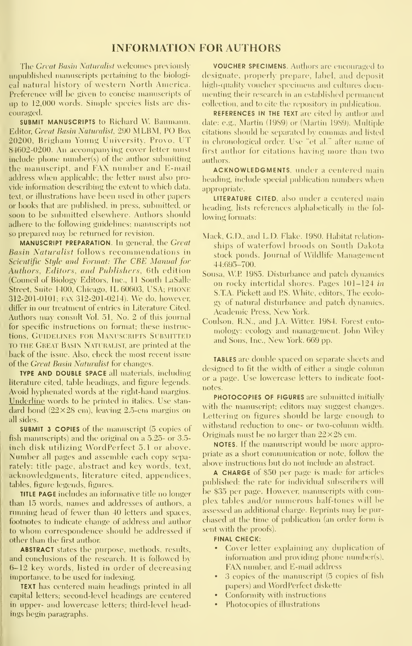#### INFORMATION FOR AUTHORS

The Great Basin Naturalist welcomes previously unpublished manuscripts pertaining to the biological natural history of western North America. Preference will be given to concise manuscripts of up to 12,000 words. Simple species lists are discouraged.

SUBMIT MANUSCRIPTS to Richard W. Baumann, Editor, Great Basin Naturalist, 290 MLBM, PO Box 20200, Brigham Young University, Provo, UT 84602-0200. An accompanying cover letter must include phone number(s) of the author submitting the manuscript, and FAX number and E-mail address when applicable; the letter must also pro- \ ide information describing the extent to which data, text, or illustrations have been used in other papers or books that are published, in press, submitted, or soon to be submitted elsewhere. Authors should adhere to the following guidelines; manuscripts not so prepared may be returned for revision.

MANUSCRIPT PREPARATION. In general, the Great Basin Naturalist follows recommendations in Scientific Style and Format: The CBE Manual for Authors, Editors, and Publishers, 6th edition (Council of Biology Editors, Inc., 11 South LaSalle Street, Suite 1400, Chicago, IL 60603, USA; PHONE 312-201-0101; FAX 312-201-0214). We do, however, differ in our treatment of entries in Literature Cited. Authors may consult Vol. 51, No. 2 of this journal for specific instructions on format; these instructions. GUIDELINES FOR MANUSCRIPTS SUBMITTED TO THE Great Basin Naturalist, are printed at the back of the issue. Also, check the most recent issue of the *Great Basin Naturalist* for changes.

TYPE AND DOUBLE SPACE all materials, including literature cited, table headings, and figure legends. Avoid hyphenated words at the right-hand margins. Underline words to be printed in italics. Use stan dard bond  $(22\times28$  cm), leaving 2.5-cm margins on all sides.

SUBMIT 3 COPIES of the manuscript (5 copies of fish manuscripts) and the original on a 5.25- or 3.5 inch disk utilizing WordPerfect 5.1 or above. Number all pages and assemble each copy separately; title page, abstract and key words, text, acknowledgments, literature cited, appendices, tables, figure legends, figures.

TITLE PAGE includes an informative title no longer than 15 words, names and addresses of authors, a running head of fewer than 40 letters and spaces, footnotes to indicate change of address and author to whom correspondence should be addressed if other than the first author

ABSTRACT states the purpose, methods, results, and conclusions of the research. It is followed by 6-12 key words, listed in order of decreasing importance, to be used for indexing.

TEXT has centered main headings printed in all capital letters; second-level headings are centered in upper- and lowercase letters; third-level headings begin paragraphs.

VOUCHER SPECIMENS. Authors are encomaged to designate, properly prepare, label, and deposit high-quality voucher specimens and cultures documenting their research in an established permanent collection, and to cite the repository in publication.

REFERENCES IN THE TEXT are cited by author and date: e.g., Martin (1989) or (Martin 1989). Multiple citations should be separated by commas and listed in chronological order. Use "et al." after name of first author for citations having more than two authors.

ACKNOWLEDGMENTS, under <sup>a</sup> centered main heading, include special publication numbers when appropriate.

LITERATURE CITED, also under a centered main heading, lists references alphabetically in the following formats:

- Mack, G.D., and L.D. Flake. 1980. Habitat relation ships of waterfowl broods on South Dakota stock ponds. Journal of Wildlife Management 44:695-700.
- Sousa, WP 1985. Disturbance and patch dynamics on rocky intertidal shores. Pages 101-124 in S.T.A. Pickett and PS. White, editors. The ecolo gy of natural disturbance and patch d\'namics. Academic Press, New York.
- Coulson, R.N., and J.A. Witter. 1984. Forest ento mology: ecology and management. John Wiley and Sons, Inc., New York. 669 pp.

TABLES are double spaced on separate sheets and designed to fit the width of either a single column or a page. Use lowercase letters to indicate foot notes.

PHOTOCOPIES OF FIGURES are submitted initially with the manuscript; editors may suggest changes. Lettering on figures should be large enough to withstand reduction to one- or two-column width. Originals must be no larger than  $22\times28$  cm.

NOTES. If the manuscript would be more appropriate as a short communication or note, follow the above instructions but do not include an abstract.

A CHARGE of \$50 per page is made for articles published; the rate for individual subscribers will be \$35 per page. However, manuscripts with complex tables and/or numerous half-tones will be assessed an additional charge. Reprints may be pur chased at the time of publication (an order form is sent with the proofs).

#### FINAL CHECK:

- Cover letter explaining any duplication of information and providing phone number(s), FAX number, and E-mail address
- 3 copies of the manuscript (5 copies of fish papers) and WordPerfect diskette
- Conformity with instructions
- Photocopies of illustrations